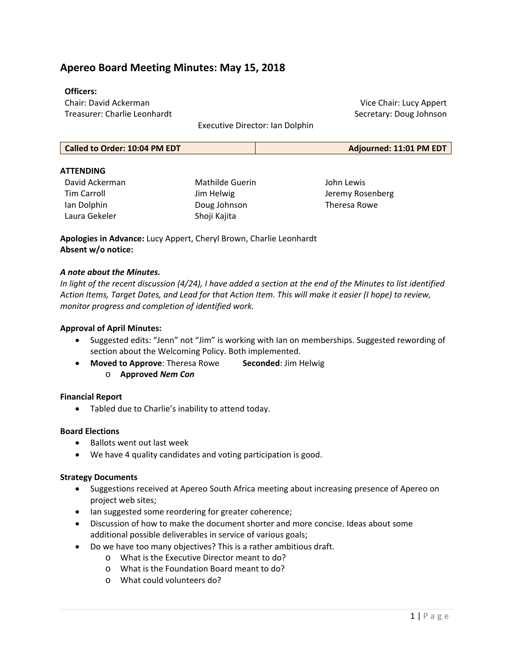# **Apereo Board Meeting Minutes: May 15, 2018**

### **Officers:**

Chair: David Ackerman Treasurer: Charlie Leonhardt

Executive Director: Ian Dolphin

| Called to Order: 10:04 PM EDT | Adjourned: 11:01 PM EDT |
|-------------------------------|-------------------------|
|-------------------------------|-------------------------|

### **ATTENDING**

David Ackerman Tim Carroll Ian Dolphin Laura Gekeler

Mathilde Guerin Jim Helwig Doug Johnson Shoji Kajita

John Lewis Jeremy Rosenberg Theresa Rowe

Vice Chair: Lucy Appert Secretary: Doug Johnson

**Apologies in Advance:** Lucy Appert, Cheryl Brown, Charlie Leonhardt **Absent w/o notice:**

#### *A note about the Minutes.*

*In light of the recent discussion (4/24), I have added a section at the end of the Minutes to list identified Action Items, Target Dates, and Lead for that Action Item. This will make it easier (I hope) to review, monitor progress and completion of identified work.* 

#### **Approval of April Minutes:**

- Suggested edits: "Jenn" not "Jim" is working with Ian on memberships. Suggested rewording of section about the Welcoming Policy. Both implemented.
- **Moved to Approve**: Theresa Rowe  **Seconded**: Jim Helwig o **Approved** *Nem Con*

### **Financial Report**

Tabled due to Charlie's inability to attend today.

#### **Board Elections**

- Ballots went out last week
- We have 4 quality candidates and voting participation is good.

#### **Strategy Documents**

- Suggestions received at Apereo South Africa meeting about increasing presence of Apereo on project web sites;
- Ian suggested some reordering for greater coherence;
- Discussion of how to make the document shorter and more concise. Ideas about some additional possible deliverables in service of various goals;
- Do we have too many objectives? This is a rather ambitious draft.
	- o What is the Executive Director meant to do?
	- o What is the Foundation Board meant to do?
	- o What could volunteers do?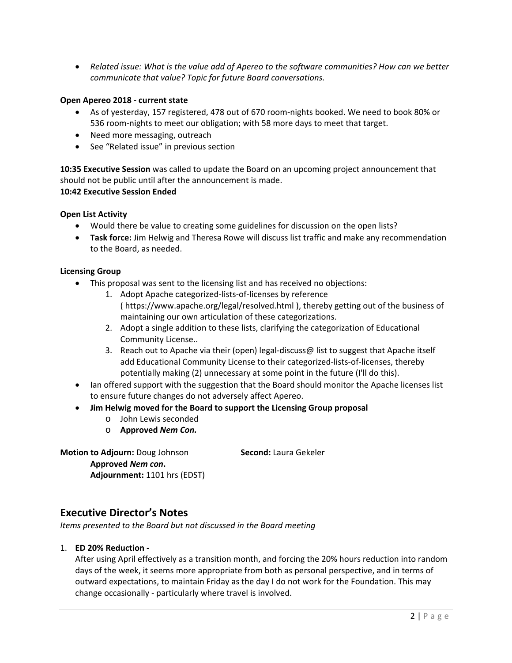*Related issue: What is the value add of Apereo to the software communities? How can we better communicate that value? Topic for future Board conversations.* 

### **Open Apereo 2018 ‐ current state**

- As of yesterday, 157 registered, 478 out of 670 room‐nights booked. We need to book 80% or 536 room‐nights to meet our obligation; with 58 more days to meet that target.
- Need more messaging, outreach
- See "Related issue" in previous section

**10:35 Executive Session** was called to update the Board on an upcoming project announcement that should not be public until after the announcement is made.

## **10:42 Executive Session Ended**

## **Open List Activity**

- Would there be value to creating some guidelines for discussion on the open lists?
- **Task force:** Jim Helwig and Theresa Rowe will discuss list traffic and make any recommendation to the Board, as needed.

### **Licensing Group**

- This proposal was sent to the licensing list and has received no objections:
	- 1. Adopt Apache categorized‐lists‐of‐licenses by reference ( https://www.apache.org/legal/resolved.html ), thereby getting out of the business of maintaining our own articulation of these categorizations.
	- 2. Adopt a single addition to these lists, clarifying the categorization of Educational Community License..
	- 3. Reach out to Apache via their (open) legal‐discuss@ list to suggest that Apache itself add Educational Community License to their categorized‐lists‐of‐licenses, thereby potentially making (2) unnecessary at some point in the future (I'll do this).
- Ian offered support with the suggestion that the Board should monitor the Apache licenses list to ensure future changes do not adversely affect Apereo.
- **Jim Helwig moved for the Board to support the Licensing Group proposal** 
	- o John Lewis seconded
	- o **Approved** *Nem Con.*

**Motion to Adjourn:** Doug Johnson **Second:** Laura Gekeler **Approved** *Nem con***.** 

**Adjournment:** 1101 hrs (EDST)

# **Executive Director's Notes**

*Items presented to the Board but not discussed in the Board meeting* 

### 1. **ED 20% Reduction ‐**

After using April effectively as a transition month, and forcing the 20% hours reduction into random days of the week, it seems more appropriate from both as personal perspective, and in terms of outward expectations, to maintain Friday as the day I do not work for the Foundation. This may change occasionally ‐ particularly where travel is involved.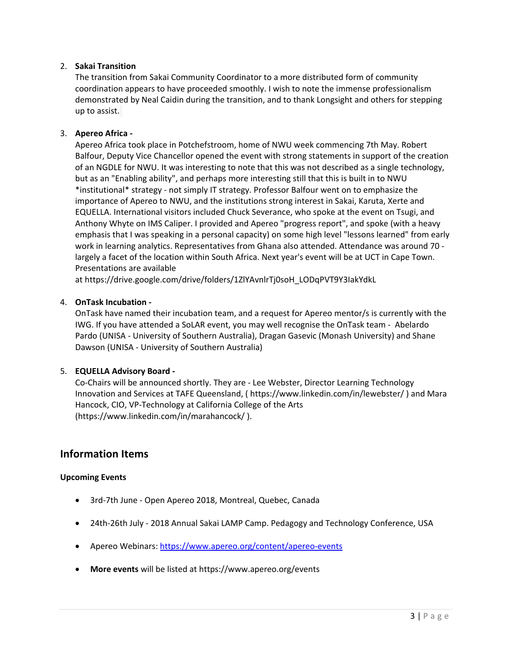## 2. **Sakai Transition**

The transition from Sakai Community Coordinator to a more distributed form of community coordination appears to have proceeded smoothly. I wish to note the immense professionalism demonstrated by Neal Caidin during the transition, and to thank Longsight and others for stepping up to assist.

## 3. **Apereo Africa ‐**

Apereo Africa took place in Potchefstroom, home of NWU week commencing 7th May. Robert Balfour, Deputy Vice Chancellor opened the event with strong statements in support of the creation of an NGDLE for NWU. It was interesting to note that this was not described as a single technology, but as an "Enabling ability", and perhaps more interesting still that this is built in to NWU \*institutional\* strategy ‐ not simply IT strategy. Professor Balfour went on to emphasize the importance of Apereo to NWU, and the institutions strong interest in Sakai, Karuta, Xerte and EQUELLA. International visitors included Chuck Severance, who spoke at the event on Tsugi, and Anthony Whyte on IMS Caliper. I provided and Apereo "progress report", and spoke (with a heavy emphasis that I was speaking in a personal capacity) on some high level "lessons learned" from early work in learning analytics. Representatives from Ghana also attended. Attendance was around 70 ‐ largely a facet of the location within South Africa. Next year's event will be at UCT in Cape Town. Presentations are available

at https://drive.google.com/drive/folders/1ZlYAvnlrTj0soH\_LODqPVT9Y3IakYdkL

## 4. **OnTask Incubation ‐**

OnTask have named their incubation team, and a request for Apereo mentor/s is currently with the IWG. If you have attended a SoLAR event, you may well recognise the OnTask team ‐ Abelardo Pardo (UNISA ‐ University of Southern Australia), Dragan Gasevic (Monash University) and Shane Dawson (UNISA ‐ University of Southern Australia)

# 5. **EQUELLA Advisory Board ‐**

Co‐Chairs will be announced shortly. They are ‐ Lee Webster, Director Learning Technology Innovation and Services at TAFE Queensland, ( https://www.linkedin.com/in/lewebster/ ) and Mara Hancock, CIO, VP‐Technology at California College of the Arts (https://www.linkedin.com/in/marahancock/ ).

# **Information Items**

### **Upcoming Events**

- 3rd-7th June Open Apereo 2018, Montreal, Quebec, Canada
- 24th-26th July 2018 Annual Sakai LAMP Camp. Pedagogy and Technology Conference, USA
- Apereo Webinars: https://www.apereo.org/content/apereo-events
- **More events** will be listed at https://www.apereo.org/events